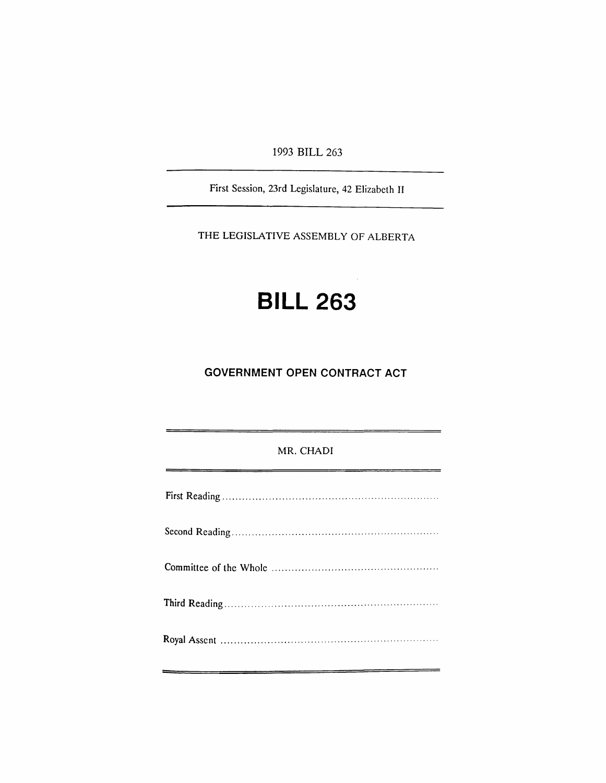1993 BILL 263

First Session, 23rd Legislature, 42 Elizabeth II

THE LEGISLATIVE ASSEMBLY OF ALBERTA

# **BILL 263**

## **GOVERNMENT OPEN CONTRACT ACT**

### MR. CHADI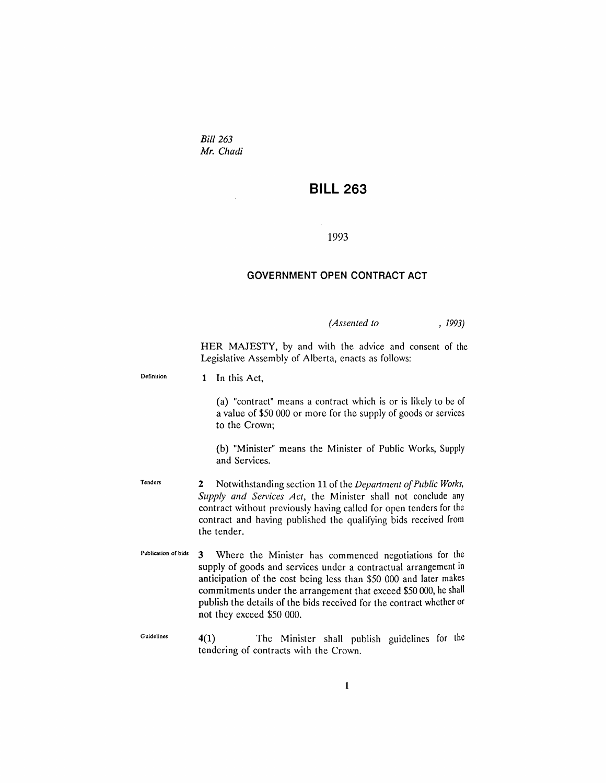*Bill 263 Mr. Chadi*

## **BILL 263**

#### 1993

#### **GOVERNMENT OPEN CONTRACT ACT**

*(Assented to* , 1993)

HER MAJESTY, by and with the advice and consent of the Legislative Assembly of Alberta, enacts as follows:

Definition 1 In this Act,

> (a) "contract" means a contract which is or is likely to be of a value of \$50 000 or more for the supply of goods or services to the Crown;

> (b) "Minister" means the Minister of Public Works, Supply and Services.

- Tenders 2 Notwithstanding section 11 of the *Department of Public Works*, *Supply and Services Act,* the Minister shall not conclude any contract without previously having called for open tenders for the contract and having published the qualifying bids received from the tender.
- Publication of bids 3 Where the Minister has commenced negotiations for the supply of goods and services under a contractual arrangement in anticipation of the cost being less than \$50 000 and later makes commitments under the arrangement that exceed \$50000, he shall publish the details of the bids received for the contract whether or not they exceed \$50 000.
- Guidelines 4(1) The Minister shall publish guidelines for the tendering of contracts with the Crown.